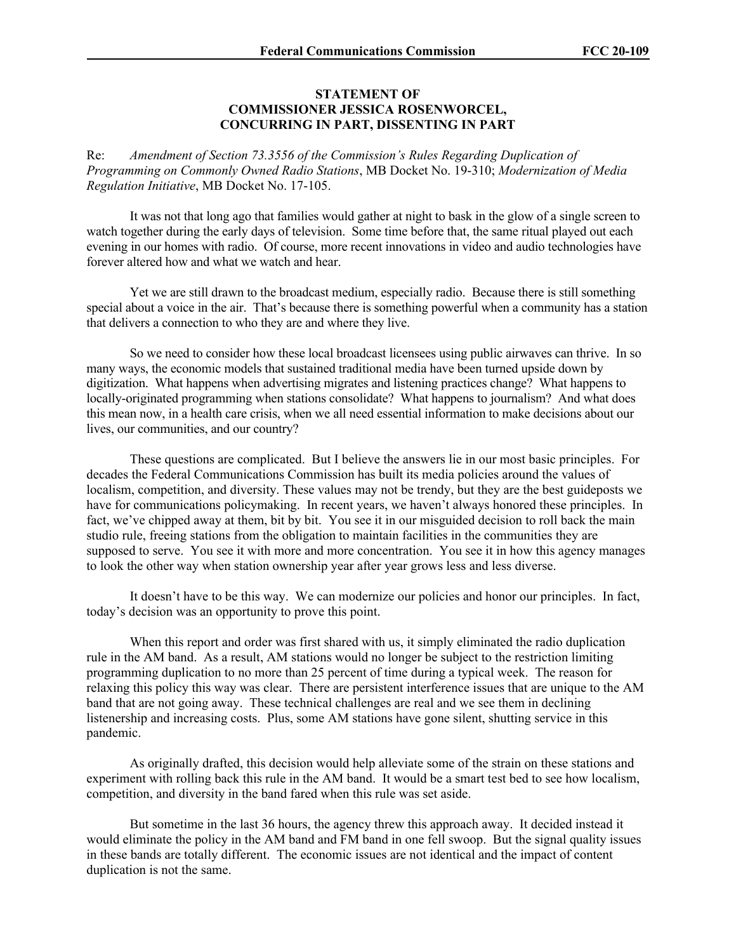## **STATEMENT OF COMMISSIONER JESSICA ROSENWORCEL, CONCURRING IN PART, DISSENTING IN PART**

Re: *Amendment of Section 73.3556 of the Commission's Rules Regarding Duplication of Programming on Commonly Owned Radio Stations*, MB Docket No. 19-310; *Modernization of Media Regulation Initiative*, MB Docket No. 17-105.

It was not that long ago that families would gather at night to bask in the glow of a single screen to watch together during the early days of television. Some time before that, the same ritual played out each evening in our homes with radio. Of course, more recent innovations in video and audio technologies have forever altered how and what we watch and hear.

Yet we are still drawn to the broadcast medium, especially radio. Because there is still something special about a voice in the air. That's because there is something powerful when a community has a station that delivers a connection to who they are and where they live.

So we need to consider how these local broadcast licensees using public airwaves can thrive. In so many ways, the economic models that sustained traditional media have been turned upside down by digitization. What happens when advertising migrates and listening practices change? What happens to locally-originated programming when stations consolidate? What happens to journalism? And what does this mean now, in a health care crisis, when we all need essential information to make decisions about our lives, our communities, and our country?

These questions are complicated. But I believe the answers lie in our most basic principles. For decades the Federal Communications Commission has built its media policies around the values of localism, competition, and diversity. These values may not be trendy, but they are the best guideposts we have for communications policymaking. In recent years, we haven't always honored these principles. In fact, we've chipped away at them, bit by bit. You see it in our misguided decision to roll back the main studio rule, freeing stations from the obligation to maintain facilities in the communities they are supposed to serve. You see it with more and more concentration. You see it in how this agency manages to look the other way when station ownership year after year grows less and less diverse.

It doesn't have to be this way. We can modernize our policies and honor our principles. In fact, today's decision was an opportunity to prove this point.

When this report and order was first shared with us, it simply eliminated the radio duplication rule in the AM band. As a result, AM stations would no longer be subject to the restriction limiting programming duplication to no more than 25 percent of time during a typical week. The reason for relaxing this policy this way was clear. There are persistent interference issues that are unique to the AM band that are not going away. These technical challenges are real and we see them in declining listenership and increasing costs. Plus, some AM stations have gone silent, shutting service in this pandemic.

As originally drafted, this decision would help alleviate some of the strain on these stations and experiment with rolling back this rule in the AM band. It would be a smart test bed to see how localism, competition, and diversity in the band fared when this rule was set aside.

But sometime in the last 36 hours, the agency threw this approach away. It decided instead it would eliminate the policy in the AM band and FM band in one fell swoop. But the signal quality issues in these bands are totally different. The economic issues are not identical and the impact of content duplication is not the same.